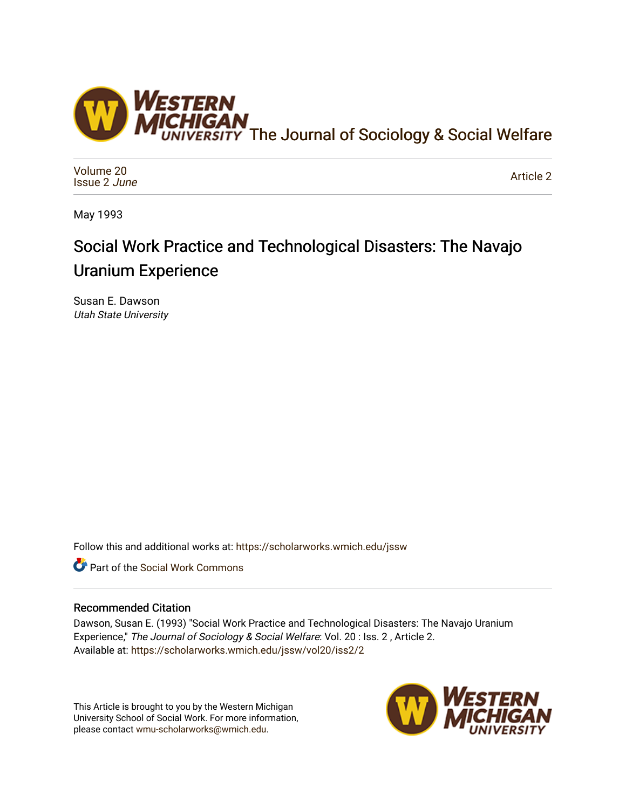

[Volume 20](https://scholarworks.wmich.edu/jssw/vol20) [Issue 2](https://scholarworks.wmich.edu/jssw/vol20/iss2) June

[Article 2](https://scholarworks.wmich.edu/jssw/vol20/iss2/2) 

May 1993

# Social Work Practice and Technological Disasters: The Navajo Uranium Experience

Susan E. Dawson Utah State University

Follow this and additional works at: [https://scholarworks.wmich.edu/jssw](https://scholarworks.wmich.edu/jssw?utm_source=scholarworks.wmich.edu%2Fjssw%2Fvol20%2Fiss2%2F2&utm_medium=PDF&utm_campaign=PDFCoverPages) 

**C** Part of the [Social Work Commons](http://network.bepress.com/hgg/discipline/713?utm_source=scholarworks.wmich.edu%2Fjssw%2Fvol20%2Fiss2%2F2&utm_medium=PDF&utm_campaign=PDFCoverPages)

# Recommended Citation

Dawson, Susan E. (1993) "Social Work Practice and Technological Disasters: The Navajo Uranium Experience," The Journal of Sociology & Social Welfare: Vol. 20: Iss. 2, Article 2. Available at: [https://scholarworks.wmich.edu/jssw/vol20/iss2/2](https://scholarworks.wmich.edu/jssw/vol20/iss2/2?utm_source=scholarworks.wmich.edu%2Fjssw%2Fvol20%2Fiss2%2F2&utm_medium=PDF&utm_campaign=PDFCoverPages)

This Article is brought to you by the Western Michigan University School of Social Work. For more information, please contact [wmu-scholarworks@wmich.edu.](mailto:wmu-scholarworks@wmich.edu)

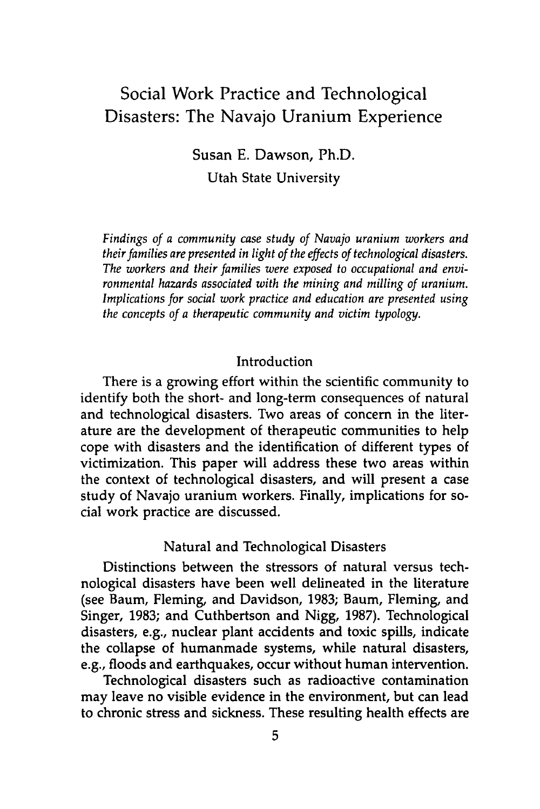# Social Work Practice and Technological Disasters: The Navajo Uranium Experience

Susan E. Dawson, Ph.D. Utah State University

*Findings of a community case study of Navajo uranium workers and their families are presented in light of the effects of technological disasters. The workers and their families were exposed to occupational and environmental hazards associated with the mining and milling of uranium. Implications for social work practice and education are presented using the concepts of a therapeutic community and victim typology.*

#### **Introduction**

There is a growing effort within the scientific community to identify both the short- and long-term consequences of natural and technological disasters. Two areas of concern in the literature are the development of therapeutic communities to help cope with disasters and the identification of different types of victimization. This paper will address these two areas within the context of technological disasters, and will present a case study of Navajo uranium workers. Finally, implications for social work practice are discussed.

### Natural and Technological Disasters

Distinctions between the stressors of natural versus technological disasters have been well delineated in the literature (see Baum, Fleming, and Davidson, **1983;** Baum, Fleming, and Singer, **1983;** and Cuthbertson and **Nigg, 1987).** Technological disasters, e.g., nuclear plant accidents and toxic spills, indicate the collapse of humanmade systems, while natural disasters, e.g., floods and earthquakes, occur without human intervention.

Technological disasters such as radioactive contamination may leave no visible evidence in the environment, but can lead to chronic stress and sickness. These resulting health effects are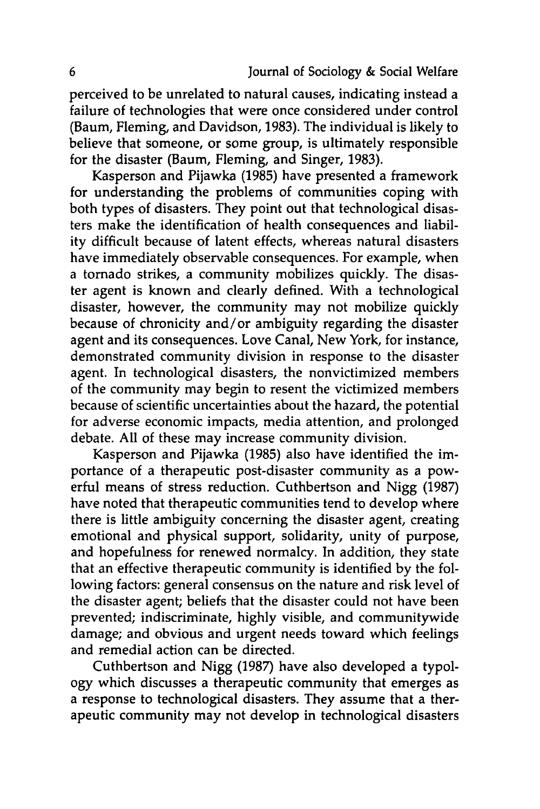perceived to be unrelated to natural causes, indicating instead a failure of technologies that were once considered under control (Baum, Fleming, and Davidson, **1983).** The individual is likely to believe that someone, or some group, is ultimately responsible for the disaster (Baum, Fleming, and Singer, **1983).**

Kasperson and Pijawka **(1985)** have presented a framework for understanding the problems of communities coping with both types of disasters. They point out that technological disasters make the identification of health consequences and liability difficult because of latent effects, whereas natural disasters have immediately observable consequences. For example, when a tornado strikes, a community mobilizes quickly. The disaster agent is known and clearly defined. With a technological disaster, however, the community may not mobilize quickly because of chronicity and/or ambiguity regarding the disaster agent and its consequences. Love Canal, New York, for instance, demonstrated community division in response to the disaster agent. In technological disasters, the nonvictimized members of the community may begin to resent the victimized members because of scientific uncertainties about the hazard, the potential for adverse economic impacts, media attention, and prolonged debate. **All** of these may increase community division.

Kasperson and Pijawka **(1985)** also have identified the importance of a therapeutic post-disaster community as a powerful means of stress reduction. Cuthbertson and **Nigg (1987)** have noted that therapeutic communities tend to develop where there is little ambiguity concerning the disaster agent, creating emotional and physical support, solidarity, unity of purpose, and hopefulness for renewed normalcy. In addition, they state that an effective therapeutic community is identified **by** the following factors: general consensus on the nature and risk level of the disaster agent; beliefs that the disaster could not have been prevented; indiscriminate, **highly** visible, and communitywide damage; and obvious and urgent needs toward which feelings and remedial action can be directed.

Cuthbertson and **Nigg (1987)** have also developed a typology which discusses a therapeutic community that emerges as a response to technological disasters. They assume that a therapeutic community may not develop in technological disasters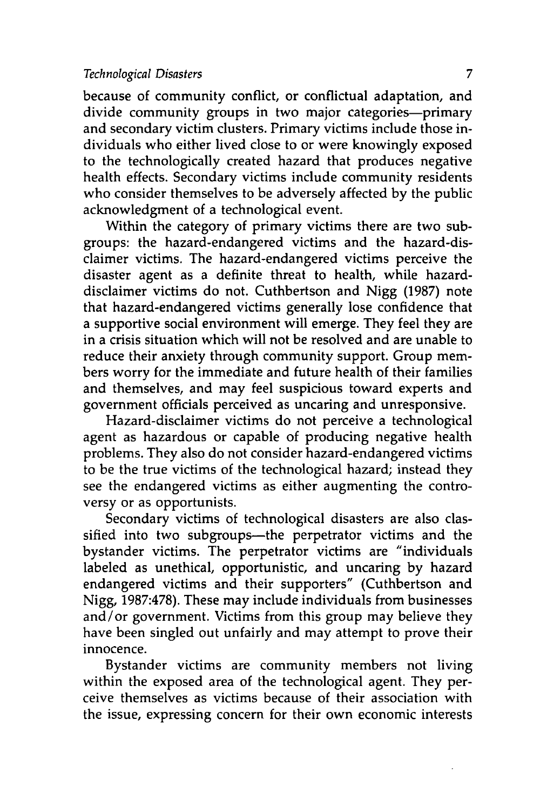#### *Technological Disasters 7*

because of community conflict, or conflictual adaptation, and divide community groups in two major categories-primary and secondary victim clusters. Primary victims include those individuals who either lived close to or were knowingly exposed to the technologically created hazard that produces negative health effects. Secondary victims include community residents who consider themselves to be adversely affected **by** the public acknowledgment of a technological event.

Within the category of primary victims there are two subgroups: the hazard-endangered victims and the hazard-disclaimer victims. The hazard-endangered victims perceive the disaster agent as a definite threat to health, while hazarddisclaimer victims do not. Cuthbertson and **Nigg (1987)** note that hazard-endangered victims generally lose confidence that a supportive social environment will emerge. They feel they are in a crisis situation which will not be resolved and are unable to reduce their anxiety through community support. Group members worry for the immediate and future health of their families and themselves, and may feel suspicious toward experts and government officials perceived as uncaring and unresponsive.

Hazard-disclaimer victims do not perceive a technological agent as hazardous or capable of producing negative health problems. They also do not consider hazard-endangered victims to be the true victims of the technological hazard; instead they see the endangered victims as either augmenting the controversy or as opportunists.

Secondary victims of technological disasters are also classified into two subgroups-the perpetrator victims and the bystander victims. The perpetrator victims are "individuals labeled as unethical, opportunistic, and uncaring **by** hazard endangered victims and their supporters" (Cuthbertson and **Nigg, 1987:478).** These may include individuals from businesses and/or government. Victims from this group may believe they have been singled out unfairly and may attempt to prove their innocence.

Bystander victims are community members not living within the exposed area of the technological agent. They perceive themselves as victims because of their association with the issue, expressing concern for their own economic interests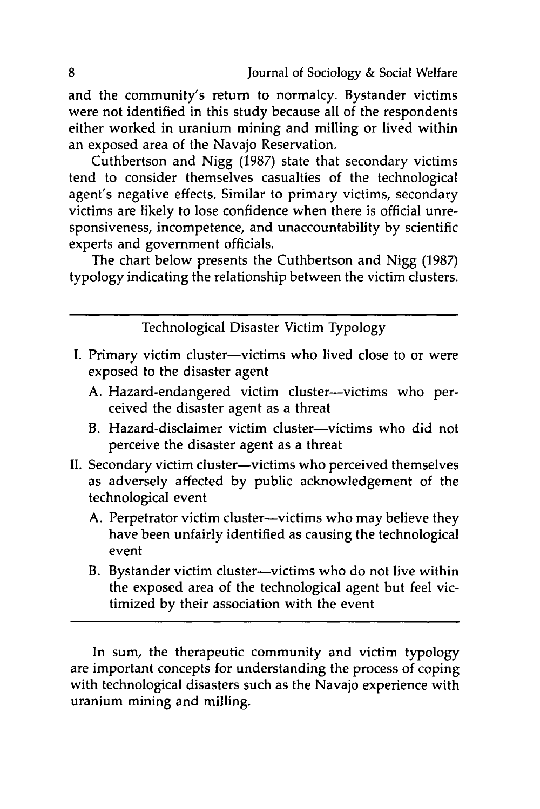and the community's return to normalcy. Bystander victims were not identified in this study because all of the respondents either worked in uranium mining and milling or lived within an exposed area of the Navajo Reservation.

Cuthbertson and Nigg (1987) state that secondary victims tend to consider themselves casualties of the technological agent's negative effects. Similar to primary victims, secondary victims are likely to lose confidence when there is official unresponsiveness, incompetence, and unaccountability by scientific experts and government officials.

The chart below presents the Cuthbertson and Nigg (1987) typology indicating the relationship between the victim clusters.

Technological Disaster Victim Typology

- I. Primary victim cluster—victims who lived close to or were exposed to the disaster agent
	- A. Hazard-endangered victim cluster--victims who perceived the disaster agent as a threat
	- B. Hazard-disclaimer victim cluster-victims who did not perceive the disaster agent as a threat
- II. Secondary victim cluster-victims who perceived themselves as adversely affected by public acknowledgement of the technological event
	- A. Perpetrator victim cluster--victims who may believe they have been unfairly identified as causing the technological event
	- B. Bystander victim cluster—victims who do not live within the exposed area of the technological agent but feel victimized by their association with the event

In sum, the therapeutic community and victim typology are important concepts for understanding the process of coping with technological disasters such as the Navajo experience with uranium mining and milling.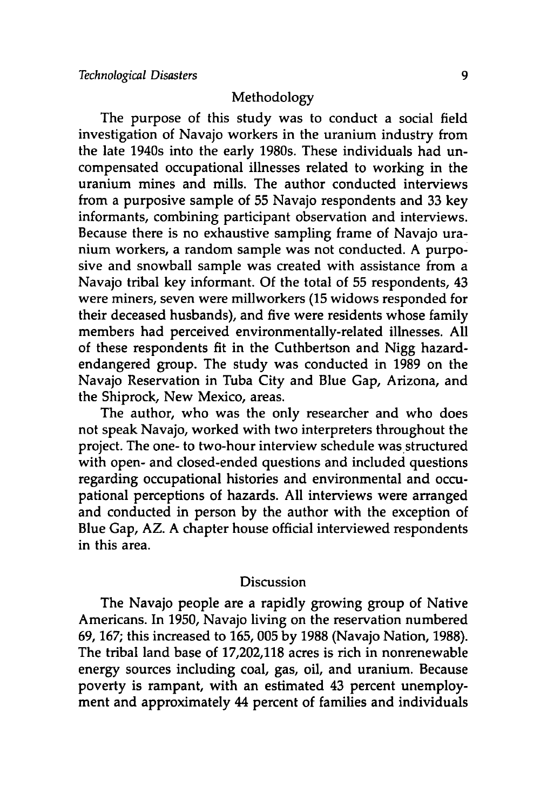#### Methodology

The purpose of this study was to conduct a social field investigation of Navajo workers in the uranium industry from the late 1940s into the early 1980s. These individuals had uncompensated occupational illnesses related to working in the uranium mines and mills. The author conducted interviews from a purposive sample of **55** Navajo respondents and **33** key informants, combining participant observation and interviews. Because there is no exhaustive sampling frame of Navajo uranium workers, a random sample was not conducted. **A** purposive and snowball sample was created with assistance from a Navajo tribal key informant. **Of** the total of **55** respondents, 43 were miners, seven were millworkers **(15** widows responded for their deceased husbands), and five were residents whose family members had perceived environmentally-related illnesses. **All** of these respondents fit in the Cuthbertson and **Nigg** hazardendangered group. The study was conducted in **1989** on the Navajo Reservation in Tuba City and Blue Gap, Arizona, and the Shiprock, New Mexico, areas.

The author, who was the only researcher and who does not speak Navajo, worked with two interpreters throughout the project. The one- to two-hour interview schedule was structured with open- and closed-ended questions and included questions regarding occupational histories and environmental and occupational perceptions of hazards. **All** interviews were arranged and conducted in person **by** the author with the exception of Blue Gap, AZ. **A** chapter house official interviewed respondents in this area.

#### **Discussion**

The Navajo people are a rapidly growing group of Native Americans. In **1950,** Navajo living on the reservation numbered **69, 167;** this increased to **165, 005 by 1988** (Navajo Nation, **1988).** The tribal land base of **17,202,118** acres is rich in nonrenewable energy sources including coal, gas, oil, and uranium. Because poverty is rampant, with an estimated 43 percent unemployment and approximately 44 percent of families and individuals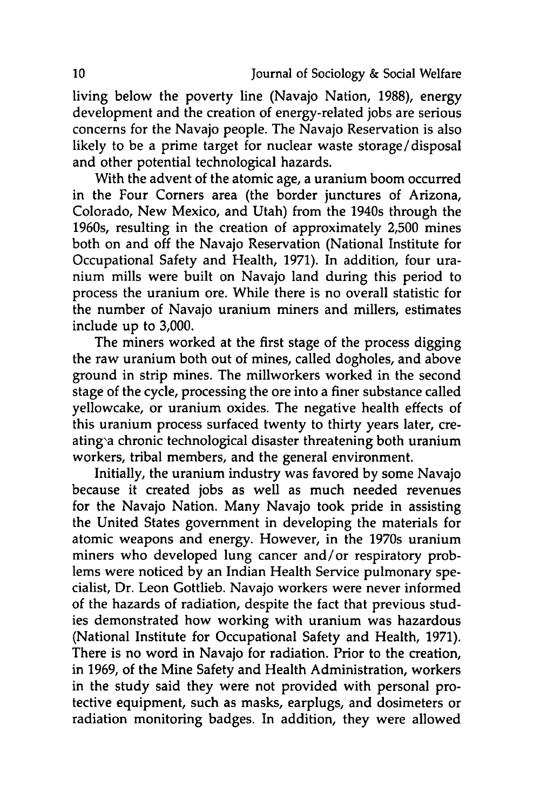living below the poverty line (Navajo Nation, **1988),** energy development and the creation of energy-related jobs are serious concerns for the Navajo people. The Navajo Reservation is also likely to be a prime target for nuclear waste storage/disposal and other potential technological hazards.

With the advent of the atomic age, a uranium boom occurred in the Four Corners area (the border junctures of Arizona, Colorado, New Mexico, and Utah) from the 1940s through the 1960s, resulting in the creation of approximately **2,500** mines both on and off the Navajo Reservation (National Institute for Occupational Safety and Health, **1971).** In addition, four uranium mills were built on Navajo land during this period to process the uranium ore. While there is no overall statistic for the number of Navajo uranium miners and millers, estimates include up to **3,000.**

The miners worked at the first stage of the process digging the raw uranium both out of mines, called dogholes, and above ground in strip mines. The millworkers worked in the second stage of the cycle, processing the ore into a finer substance called yellowcake, or uranium oxides. The negative health effects of this uranium process surfaced twenty to thirty years later, creating'a chronic technological disaster threatening both uranium workers, tribal members, and the general environment.

Initially, the uranium industry was favored **by** some Navajo because it created jobs as well as much needed revenues for the Navajo Nation. Many Navajo took pride in assisting the United States government in developing the materials for atomic weapons and energy. However, in the 1970s uranium miners who developed lung cancer and/or respiratory problems were noticed **by** an Indian Health Service pulmonary specialist, Dr. Leon Gottlieb. Navajo workers were never informed of the hazards of radiation, despite the fact that previous studies demonstrated how working with uranium was hazardous (National Institute for Occupational Safety and Health, **1971).** There is no word in Navajo for radiation. Prior to the creation, in **1969,** of the Mine Safety and Health Administration, workers in the study said they were not provided with personal protective equipment, such as masks, earplugs, and dosimeters or radiation monitoring badges. In addition, they were allowed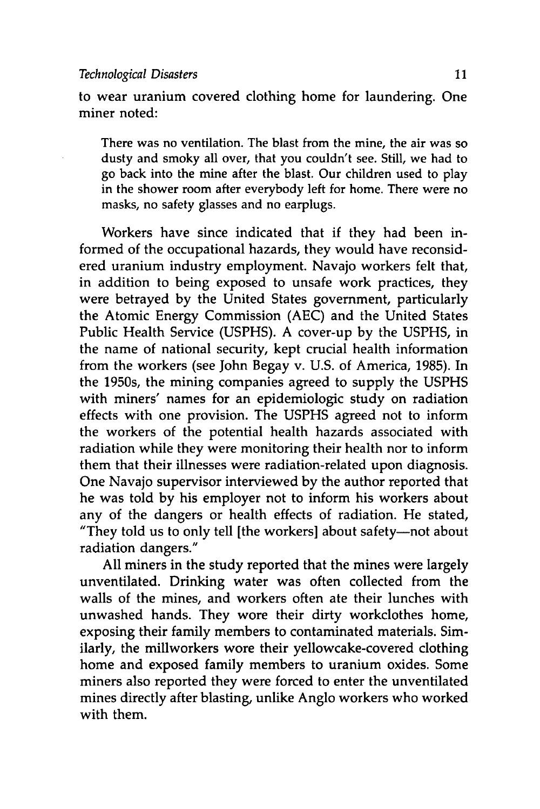#### *Technological Disasters* **11**

to wear uranium covered clothing home for laundering. One miner noted:

There was no ventilation. The blast from the mine, the air was so dusty and smoky all over, that you couldn't see. Still, we had to go back into the mine after the blast. Our children used to play in the shower room after everybody left for home. There were no masks, no safety glasses and no earplugs.

Workers have since indicated that if they had been informed of the occupational hazards, they would have reconsidered uranium industry employment. Navajo workers felt that, in addition to being exposed to unsafe work practices, they were betrayed **by** the United States government, particularly the Atomic Energy Commission **(AEC)** and the United States Public Health Service **(USPHS).** A cover-up **by** the **USPHS,** in the name of national security, kept crucial health information from the workers (see John Begay v. **U.S.** of America, **1985).** In the 1950s, the mining companies agreed to supply the **USPHS** with miners' names for an epidemiologic study on radiation effects with one provision. The **USPHS** agreed not to inform the workers of the potential health hazards associated with radiation while they were monitoring their health nor to inform them that their illnesses were radiation-related upon diagnosis. One Navajo supervisor interviewed **by** the author reported that he was told **by** his employer not to inform his workers about any of the dangers or health effects of radiation. He stated, "They told us to only tell [the workers] about safety-not about radiation dangers."

**All** miners in the study reported that the mines were largely unventilated. Drinking water was often collected from the walls of the mines, and workers often ate their lunches with unwashed hands. They wore their dirty workclothes home, exposing their family members to contaminated materials. Similarly, the millworkers wore their yellowcake-covered clothing home and exposed family members to uranium oxides. Some miners also reported they were forced to enter the unventilated mines directly after blasting, unlike Anglo workers who worked with them.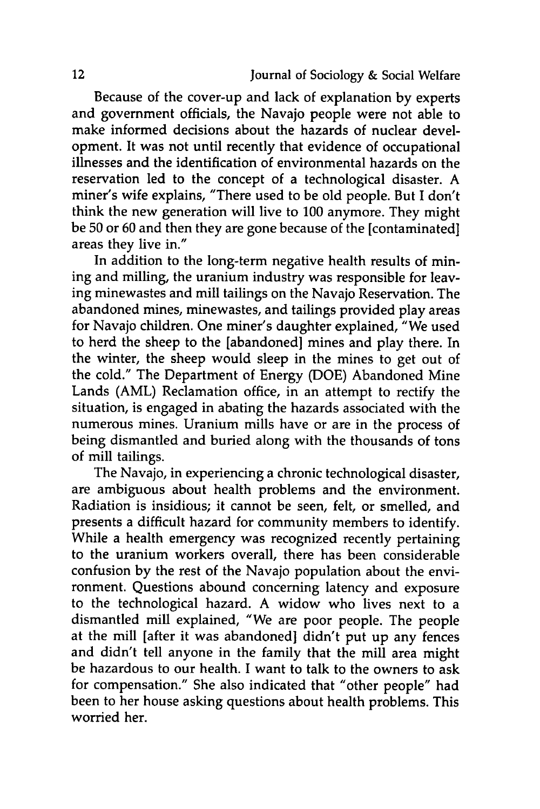Because of the cover-up and lack of explanation **by** experts and government officials, the Navajo people were not able to make informed decisions about the hazards of nuclear development. It was not until recently that evidence of occupational illnesses and the identification of environmental hazards on the reservation led to the concept of a technological disaster. **A** miner's wife explains, "There used to be old people. But I don't think the new generation will live to **100** anymore. They might be **50** or **60** and then they are gone because of the [contaminated] areas they live in."

In addition to the long-term negative health results of mining and milling, the uranium industry was responsible for leaving minewastes and mill tailings on the Navajo Reservation. The abandoned mines, minewastes, and tailings provided play areas for Navajo children. One miner's daughter explained, "We used to herd the sheep to the [abandoned] mines and play there. In the winter, the sheep would sleep in the mines to get out of the cold." The Department of Energy **(DOE)** Abandoned Mine Lands (AML) Reclamation office, in an attempt to rectify the situation, is engaged in abating the hazards associated with the numerous mines. Uranium mills have or are in the process of being dismantled and buried along with the thousands of tons of mill tailings.

The Navajo, in experiencing a chronic technological disaster, are ambiguous about health problems and the environment. Radiation is insidious; it cannot be seen, felt, or smelled, and presents a difficult hazard for community members to identify. While a health emergency was recognized recently pertaining to the uranium workers overall, there has been considerable confusion **by** the rest of the Navajo population about the environment. Questions abound concerning latency and exposure to the technological hazard. A widow who lives next to a dismantled mill explained, "We are poor people. The people at the mill [after it was abandoned] didn't put up any fences and didn't tell anyone in the family that the mill area might be hazardous to our health. I want to talk to the owners to ask for compensation." She also indicated that "other people" had been to her house asking questions about health problems. This worried her.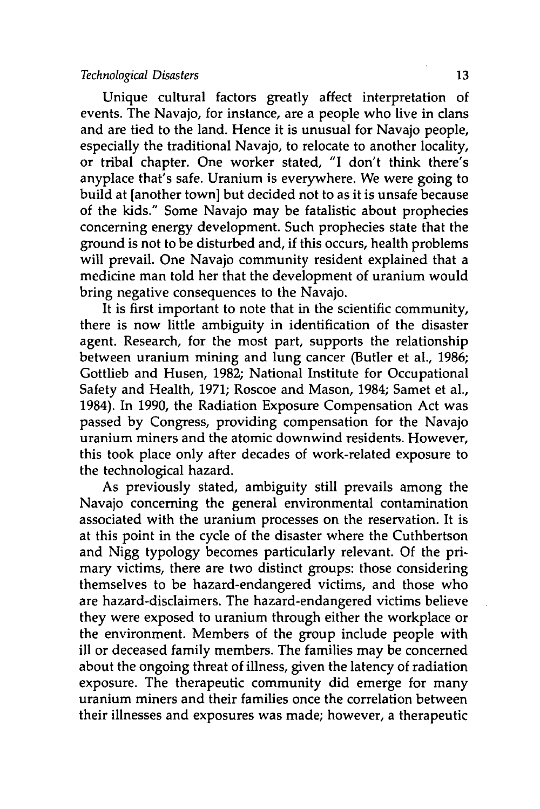#### *Technological Disasters* **13**

Unique cultural factors greatly affect interpretation of events. The Navajo, for instance, are a people who live in clans and are tied to the land. Hence it is unusual for Navajo people, especially the traditional Navajo, to relocate to another locality, or tribal chapter. One worker stated, "I don't think there's anyplace that's safe. Uranium is everywhere. We were going to build at [another town] but decided not to as it is unsafe because of the kids." Some Navajo may be fatalistic about prophecies concerning energy development. Such prophecies state that the ground is not to be disturbed and, if this occurs, health problems will prevail. One Navajo community resident explained that a medicine man told her that the development of uranium would bring negative consequences to the Navajo.

It is first important to note that in the scientific community, there is now little ambiguity in identification of the disaster agent. Research, for the most part, supports the relationship between uranium mining and lung cancer (Butler et al., **1986;** Gottlieb and Husen, **1982;** National Institute for Occupational Safety and Health, **1971;** Roscoe and Mason, 1984; Samet et al., 1984). In **1990,** the Radiation Exposure Compensation Act was passed **by** Congress, providing compensation for the Navajo uranium miners and the atomic downwind residents. However, this took place only after decades of work-related exposure to the technological hazard.

As previously stated, ambiguity still prevails among the Navajo concerning the general environmental contamination associated with the uranium processes on the reservation. It is at this point in the cycle of the disaster where the Cuthbertson and **Nigg** typology becomes particularly relevant. **Of** the primary victims, there are two distinct groups: those considering themselves to be hazard-endangered victims, and those who are hazard-disclaimers. The hazard-endangered victims believe they were exposed to uranium through either the workplace or the environment. Members of the group include people with ill or deceased family members. The families may be concerned about the ongoing threat of illness, given the latency of radiation exposure. The therapeutic community did emerge for many uranium miners and their families once the correlation between their illnesses and exposures was made; however, a therapeutic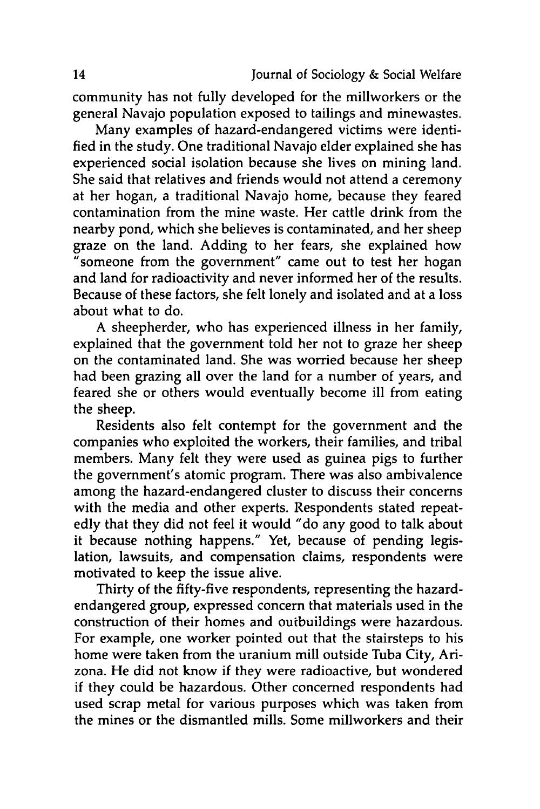community has not fully developed for the millworkers or the general Navajo population exposed to tailings and minewastes.

Many examples of hazard-endangered victims were identified in the study. One traditional Navajo elder explained she has experienced social isolation because she lives on mining land. She said that relatives and friends would not attend a ceremony at her hogan, a traditional Navajo home, because they feared contamination from the mine waste. Her cattle drink from the nearby pond, which she believes is contaminated, and her sheep graze on the land. Adding to her fears, she explained how "someone from the government" came out to test her hogan and land for radioactivity and never informed her of the results. Because of these factors, she felt lonely and isolated and at a loss about what to do.

A sheepherder, who has experienced illness in her family, explained that the government told her not to graze her sheep on the contaminated land. She was worried because her sheep had been grazing all over the land for a number of years, and feared she or others would eventually become ill from eating the sheep.

Residents also felt contempt for the government and the companies who exploited the workers, their families, and tribal members. Many felt they were used as guinea pigs to further the government's atomic program. There was also ambivalence among the hazard-endangered cluster to discuss their concerns with the media and other experts. Respondents stated repeatedly that they did not feel it would "do any good to talk about it because nothing happens." Yet, because of pending legislation, lawsuits, and compensation claims, respondents were motivated to keep the issue alive.

Thirty of the fifty-five respondents, representing the hazardendangered group, expressed concern that materials used in the construction of their homes and outbuildings were hazardous. For example, one worker pointed out that the stairsteps to his home were taken from the uranium mill outside Tuba City, Arizona. He did not know if they were radioactive, but wondered if they could be hazardous. Other concerned respondents had used scrap metal for various purposes which was taken from the mines or the dismantled mills. Some millworkers and their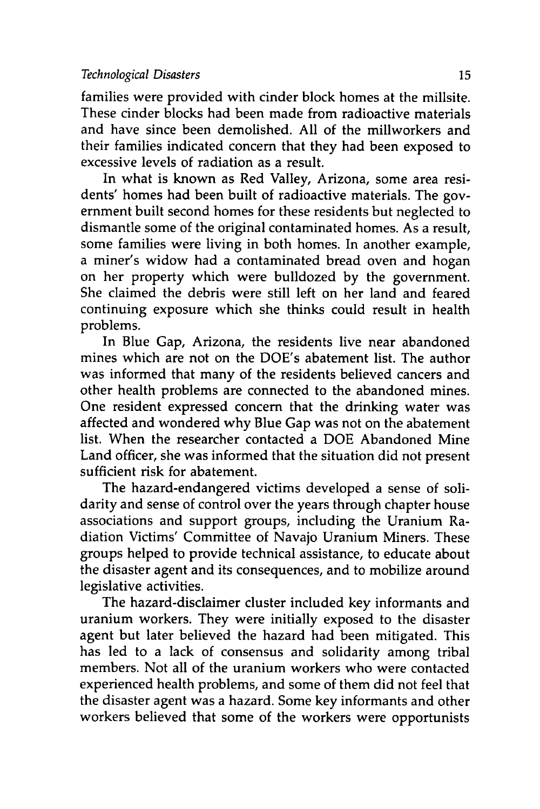families were provided with cinder block homes at the millsite. These cinder blocks had been made from radioactive materials and have since been demolished. **All** of the millworkers and their families indicated concern that they had been exposed to excessive levels of radiation as a result.

In what is known as Red Valley, Arizona, some area residents' homes had been built of radioactive materials. The government built second homes for these residents but neglected to dismantle some of the original contaminated homes. As a result, some families were living in both homes. In another example, a miner's widow had a contaminated bread oven and hogan on her property which were bulldozed **by** the government. She claimed the debris were still left on her land and feared continuing exposure which she thinks could result in health problems.

In Blue Gap, Arizona, the residents live near abandoned mines which are not on the DOE's abatement list. The author was informed that many of the residents believed cancers and other health problems are connected to the abandoned mines. One resident expressed concern that the drinking water was affected and wondered why Blue Gap was not on the abatement list. When the researcher contacted a **DOE** Abandoned Mine Land officer, she was informed that the situation did not present sufficient risk for abatement.

The hazard-endangered victims developed a sense of solidarity and sense of control over the years through chapter house associations and support groups, including the Uranium Radiation Victims' Committee of Navajo Uranium Miners. These groups helped to provide technical assistance, to educate about the disaster agent and its consequences, and to mobilize around legislative activities.

The hazard-disclaimer cluster included key informants and uranium workers. They were initially exposed to the disaster agent but later believed the hazard had been mitigated. This has led to a lack of consensus and solidarity among tribal members. Not all of the uranium workers who were contacted experienced health problems, and some of them did not feel that the disaster agent was a hazard. Some key informants and other workers believed that some of the workers were opportunists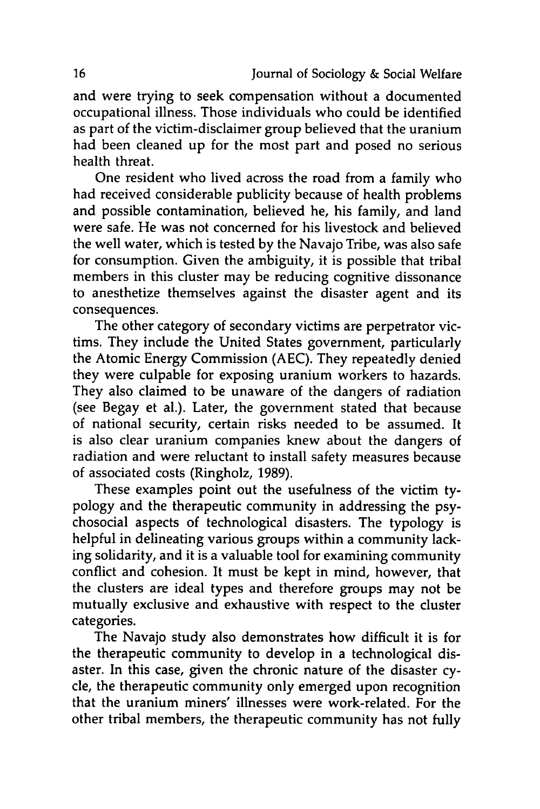and were trying to seek compensation without a documented occupational illness. Those individuals who could be identified as part of the victim-disclaimer group believed that the uranium had been cleaned up for the most part and posed no serious health threat.

One resident who lived across the road from a family who had received considerable publicity because of health problems and possible contamination, believed he, his family, and land were safe. He was not concerned for his livestock and believed the well water, which is tested **by** the Navajo Tribe, was also safe for consumption. Given the ambiguity, it is possible that tribal members in this cluster may be reducing cognitive dissonance to anesthetize themselves against the disaster agent and its consequences.

The other category of secondary victims are perpetrator victims. They include the United States government, particularly the Atomic Energy Commission **(AEC).** They repeatedly denied they were culpable for exposing uranium workers to hazards. They also claimed to be unaware of the dangers of radiation (see Begay et al.). Later, the government stated that because of national security, certain risks needed to be assumed. It is also clear uranium companies knew about the dangers of radiation and were reluctant to install safety measures because of associated costs (Ringholz, **1989).**

These examples point out the usefulness of the victim typology and the therapeutic community in addressing the psychosocial aspects of technological disasters. The typology is helpful in delineating various groups within a community lacking solidarity, and it is a valuable tool for examining community conflict and cohesion. It must be kept in mind, however, that the clusters are ideal types and therefore groups may not be mutually exclusive and exhaustive with respect to the cluster categories.

The Navajo study also demonstrates how difficult it is for the therapeutic community to develop in a technological disaster. In this case, given the chronic nature of the disaster **cy**cle, the therapeutic community only emerged upon recognition that the uranium miners' illnesses were work-related. For the other tribal members, the therapeutic community has not fully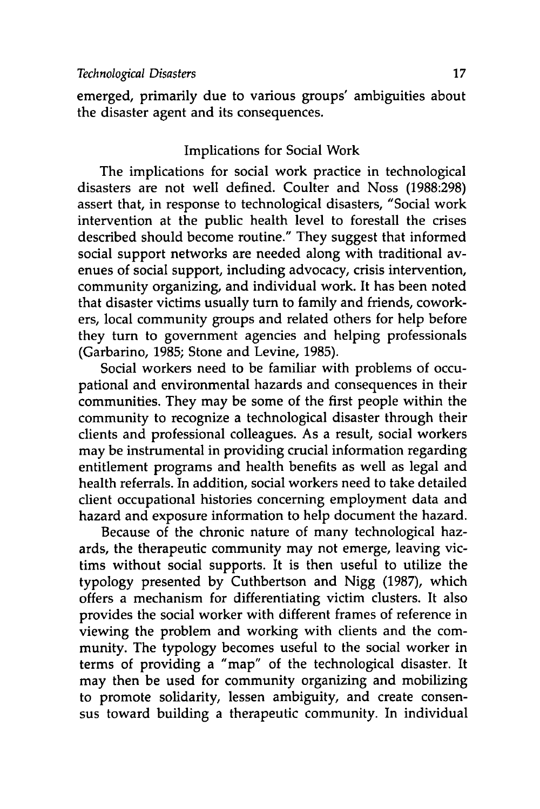emerged, primarily due to various groups' ambiguities about the disaster agent and its consequences.

## Implications for Social Work

The implications for social work practice in technological disasters are not well defined. Coulter and Noss **(1988:298)** assert that, in response to technological disasters, "Social work intervention at the public health level to forestall the crises described should become routine." They suggest that informed social support networks are needed along with traditional avenues of social support, including advocacy, crisis intervention, community organizing, and individual work. It has been noted that disaster victims usually turn to family and friends, coworkers, local community groups and related others for help before they turn to government agencies and helping professionals (Garbarino, **1985;** Stone and Levine, **1985).**

Social workers need to be familiar with problems of occupational and environmental hazards and consequences in their communities. They may be some of the first people within the community to recognize a technological disaster through their clients and professional colleagues. As a result, social workers may be instrumental in providing crucial information regarding entitlement programs and health benefits as well as legal and health referrals. In addition, social workers need to take detailed client occupational histories concerning employment data and hazard and exposure information to help document the hazard.

Because of the chronic nature of many technological hazards, the therapeutic community may not emerge, leaving victims without social supports. It is then useful to utilize the typology presented **by** Cuthbertson and **Nigg (1987),** which offers a mechanism for differentiating victim clusters. It also provides the social worker with different frames of reference in viewing the problem and working with clients and the community. The typology becomes useful to the social worker in terms of providing a "map" of the technological disaster. It may then be used for community organizing and mobilizing to promote solidarity, lessen ambiguity, and create consensus toward building a therapeutic community. In individual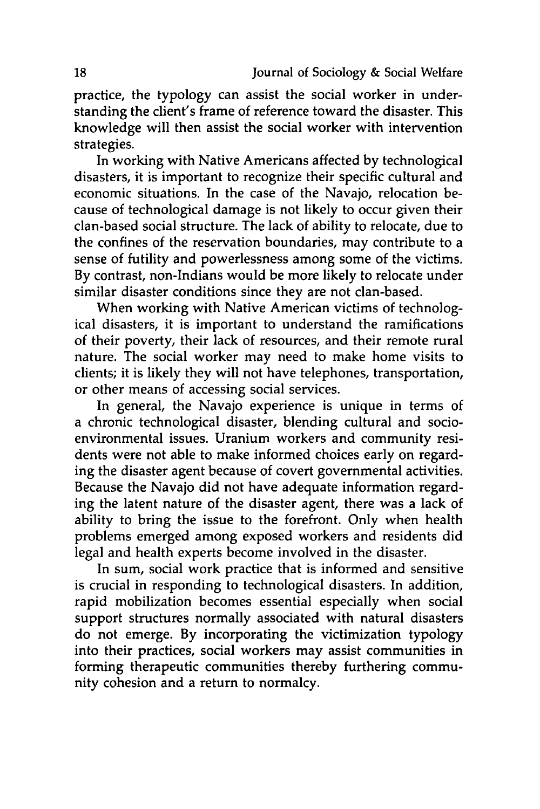practice, the typology can assist the social worker in understanding the client's frame of reference toward the disaster. This knowledge will then assist the social worker with intervention strategies.

In working with Native Americans affected **by** technological disasters, it is important to recognize their specific cultural and economic situations. In the case of the Navajo, relocation because of technological damage is not likely to occur given their clan-based social structure. The lack of ability to relocate, due to the confines of the reservation boundaries, may contribute to a sense of futility and powerlessness among some of the victims. **By** contrast, non-Indians would be more likely to relocate under similar disaster conditions since they are not clan-based.

When working with Native American victims of technological disasters, it is important to understand the ramifications of their poverty, their lack of resources, and their remote rural nature. The social worker may need to make home visits to clients; it is likely they will not have telephones, transportation, or other means of accessing social services.

In general, the Navajo experience is unique in terms of a chronic technological disaster, blending cultural and socioenvironmental issues. Uranium workers and community residents were not able to make informed choices early on regarding the disaster agent because of covert governmental activities. Because the Navajo did not have adequate information regarding the latent nature of the disaster agent, there was a lack of ability to bring the issue to the forefront. Only when health problems emerged among exposed workers and residents did legal and health experts become involved in the disaster.

In sum, social work practice that is informed and sensitive is crucial in responding to technological disasters. In addition, rapid mobilization becomes essential especially when social support structures normally associated with natural disasters do not emerge. **By** incorporating the victimization typology into their practices, social workers may assist communities in forming therapeutic communities thereby furthering community cohesion and a return to normalcy.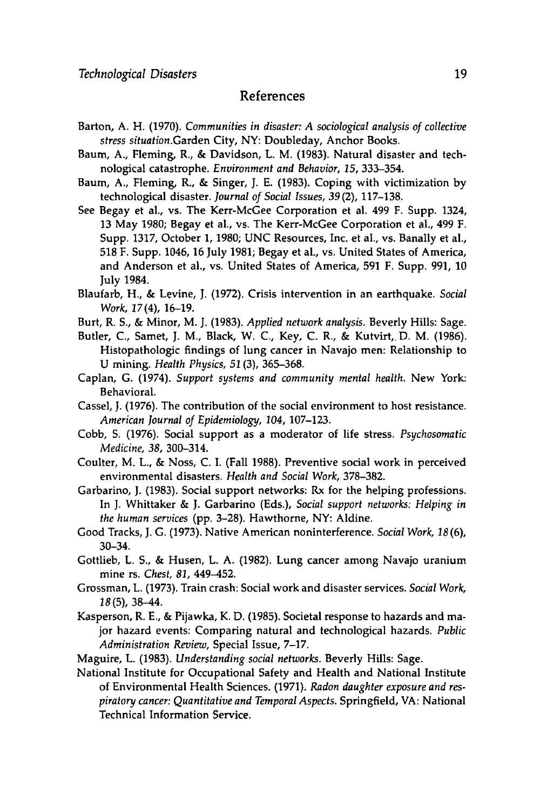#### References

- Barton, **A.** H. **(1970).** *Communities in disaster: A sociological analysis of collective stress situation.Garden* City, NY: Doubleday, Anchor Books.
- Baum, **A.,** Fleming, R., **&** Davidson, L. M. **(1983).** Natural disaster and technological catastrophe. *Environment and Behavior, 15,* **333-354.**
- Baum, **A.,** Fleming, R., **&** Singer, **J. E. (1983).** Coping with victimization **by** technological disaster. *Journal of Social Issues, 39* (2), **117-138.**
- See Begay et al., vs. The Kerr-McGee Corporation et al. 499 F. Supp. 1324, **13** May **1980;** Begay et al., vs. The Kerr-McGee Corporation et al., 499 F. Supp. **1317,** October **1, 1980; UNC** Resources, Inc. et al., vs. Banally et al., **518** F. Supp. 1046, 16 July **1981;** Begay et al., vs. United States of America, and Anderson et al., vs. United States of America, **591** F. Supp. **991, 10** July 1984.
- Blaufarb, H., **&** Levine, **J. (1972).** Crisis intervention in an earthquake. *Social Work,* 17(4), **16-19.**
- Burt, R. **S., &** Minor, M. **J. (1983).** *Applied network analysis.* Beverly Hills: Sage.
- Butler, **C.,** Samet, **J.** M., Black, W. **C.,** Key, **C.** R., **&** Kutvirt,. **D.** M. **(1986).** Histopathologic findings of lung cancer in Navajo men: Relationship to **U** mining. *Health Physics,* **51(3), 365-368.**
- Caplan, **G.** (1974). *Support systems and community mental health.* New York: Behavioral.
- Cassel, **J. (1976).** The contribution of the social environment to host resistance. *American Journal of Epidemiology, 104,* **107-123.**
- Cobb, **S. (1976).** Social support as a moderator of life stress. *Psychosomatic Medicine, 38,* 300-314.
- Coulter, M. L., **&** Noss, **C.** I. (Fall **1988).** Preventive social work in perceived environmental disasters. *Health and Social Work,* **378-382.**
- Garbarino, **J. (1983).** Social support networks: Rx for the helping professions. In **J.** Whittaker **& J.** Garbarino (Eds.), *Social support networks: Helping in the human services* **(pp. 3-28).** Hawthorne, NY: Aldine.
- Good Tracks, **J. G. (1973).** Native American noninterference. *Social Work, 18* **(6),** 30-34.
- Gottlieb, L. **S., &** Husen, L. **A. (1982).** Lung cancer among Navajo uranium mine rs. *Chest, 81,* 449-452.
- Grossman, L. **(1973).** Train crash: Social work and disaster services. *Social Work,* **18(5),** 38-44.
- Kasperson, R. **E., &** Pijawka, K. **D. (1985).** Societal response to hazards and major hazard events: Comparing natural and technological hazards. *Public Administration Review,* Special Issue, **7-17.**
- Maguire, L. **(1983).** *Understanding social networks.* Beverly Hills: Sage.
- National Institute for Occupational Safety and Health and National Institute of Environmental Health Sciences. **(1971).** *Radon daughter exposure and respiratory cancer: Quantitative and Temporal Aspects.* Springfield, VA: National Technical Information Service.